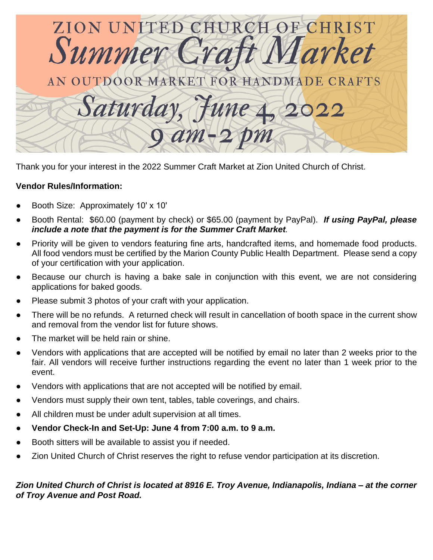

Thank you for your interest in the 2022 Summer Craft Market at Zion United Church of Christ.

## **Vendor Rules/Information:**

- Booth Size: Approximately 10' x 10'
- Booth Rental: \$60.00 (payment by check) or \$65.00 (payment by PayPal). *If using PayPal, please include a note that the payment is for the Summer Craft Market.*
- Priority will be given to vendors featuring fine arts, handcrafted items, and homemade food products. All food vendors must be certified by the Marion County Public Health Department. Please send a copy of your certification with your application.
- Because our church is having a bake sale in conjunction with this event, we are not considering applications for baked goods.
- Please submit 3 photos of your craft with your application.
- There will be no refunds. A returned check will result in cancellation of booth space in the current show and removal from the vendor list for future shows.
- The market will be held rain or shine.
- Vendors with applications that are accepted will be notified by email no later than 2 weeks prior to the fair. All vendors will receive further instructions regarding the event no later than 1 week prior to the event.
- Vendors with applications that are not accepted will be notified by email.
- Vendors must supply their own tent, tables, table coverings, and chairs.
- All children must be under adult supervision at all times.
- **● Vendor Check-In and Set-Up: June 4 from 7:00 a.m. to 9 a.m.**
- Booth sitters will be available to assist you if needed.
- Zion United Church of Christ reserves the right to refuse vendor participation at its discretion.

## *Zion United Church of Christ is located at 8916 E. Troy Avenue, Indianapolis, Indiana – at the corner of Troy Avenue and Post Road.*